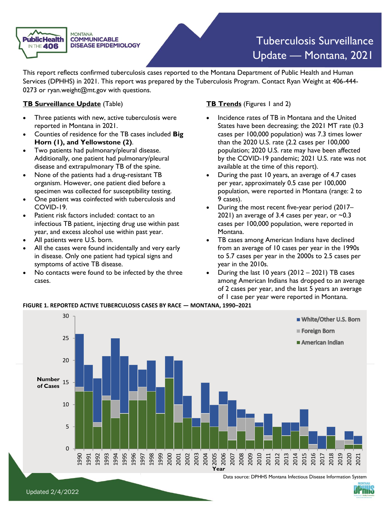

# Tuberculosis Surveillance Update — Montana, 2021

 This report reflects confirmed tuberculosis cases reported to the Montana Department of Public Health and Human Services (DPHHS) in 2021. This report was prepared by the Tuberculosis Program. Contact Ryan Weight at 406-444 0273 or [ryan.weight@mt.gov](mailto:ryan.weight@mt.gov) with questions.

## **TB Surveillance Update** (Table)

- • Three patients with new, active tuberculosis were reported in Montana in 2021.
- • Counties of residence for the TB cases included **Big Horn (1), and Yellowstone (2)**.
- disease and extrapulmonary TB of the spine. • Two patients had pulmonary/pleural disease. Additionally, one patient had pulmonary/pleural
- • None of the patients had a drug-resistant TB organism. However, one patient died before a specimen was collected for susceptibility testing.
- • One patient was coinfected with tuberculosis and COVID-19.
- • Patient risk factors included: contact to an infectious TB patient, injecting drug use within past year, and excess alcohol use within past year.
- All patients were U.S. born.
- • All the cases were found incidentally and very early in disease. Only one patient had typical signs and symptoms of active TB disease.
- • No contacts were found to be infected by the three cases.

## **TB Trends** (Figures 1 and 2)

- • Incidence rates of TB in Montana and the United States have been decreasing; the 2021 MT rate (0.3 cases per 100,000 population) was 7.3 times lower than the 2020 U.S. rate (2.2 cases per 100,000 by the COVID-19 pandemic; 2021 U.S. rate was not population; 2020 U.S. rate may have been affected available at the time of this report).
- • During the past 10 years, an average of 4.7 cases per year, approximately 0.5 case per 100,000 population, were reported in Montana (range: 2 to 9 cases).
- • During the most recent five-year period (2017– 2021) an average of 3.4 cases per year, or  $\sim$ 0.3 cases per 100,000 population, were reported in Montana.
- • TB cases among American Indians have declined from an average of 10 cases per year in the 1990s to 5.7 cases per year in the 2000s to 2.5 cases per year in the 2010s.
- • During the last 10 years (2012 2021) TB cases among American Indians has dropped to an average of 2 cases per year, and the last 5 years an average of 1 case per year were reported in Montana.

### **FIGURE 1. REPORTED ACTIVE TUBERCULOSIS CASES BY RACE — MONTANA, 1990–2021**



Data source: DPHHS Montana Infectious Disease Information System